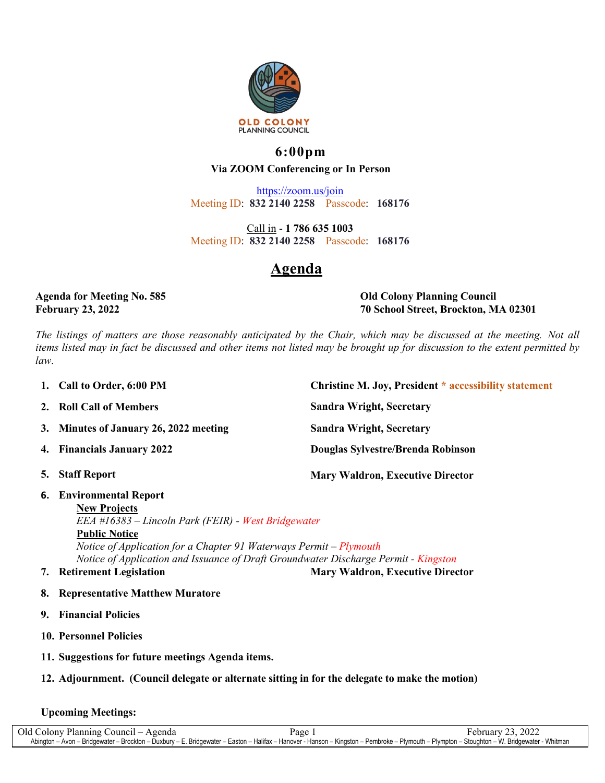

### **6:00pm Via ZOOM Conferencing or In Person**

<https://zoom.us/join> Meeting ID: **832 2140 2258** Passcode: **168176**

Call in - **1 786 635 1003** Meeting ID: **832 2140 2258** Passcode: **168176**

# **Agenda**

**Agenda for Meeting No. 585 Old Colony Planning Council February 23, 2022 70 School Street, Brockton, MA 02301**

The listings of matters are those reasonably anticipated by the Chair, which may be discussed at the meeting. Not all items listed may in fact be discussed and other items not listed may be brought up for discussion to the extent permitted by *law*.

| 1. Call to Order, 6:00 PM              | <b>Christine M. Joy, President * accessibility statement</b> |
|----------------------------------------|--------------------------------------------------------------|
| 2. Roll Call of Members                | <b>Sandra Wright, Secretary</b>                              |
| 3. Minutes of January 26, 2022 meeting | <b>Sandra Wright, Secretary</b>                              |
| 4. Financials January 2022             | Douglas Sylvestre/Brenda Robinson                            |
| 5. Staff Report                        | <b>Mary Waldron, Executive Director</b>                      |

**6. Environmental Report**

**New Projects** *EEA #16383 – Lincoln Park (FEIR) - West Bridgewater* **Public Notice** *Notice of Application for a Chapter 91 Waterways Permit – Plymouth Notice of Application and Issuance of Draft Groundwater Discharge Permit - Kingston*

- 
- **7. Retirement Legislation Mary Waldron, Executive Director**
- **8. Representative Matthew Muratore**
- **9. Financial Policies**
- **10. Personnel Policies**
- **11. Suggestions for future meetings Agenda items.**

### **12. Adjournment. (Council delegate or alternate sitting in for the delegate to make the motion)**

#### **Upcoming Meetings:**

Old Colony Planning Council – Agenda Page 1 February 23, 2022 Abington – Avon – Bridgewater – Brockton – Duxbury – E. Bridgewater – Easton – Halifax – Hanover - Hanson – Kingston – Pembroke – Plymouth – Plympton – Stoughton – W. Bridgewater - Whitman